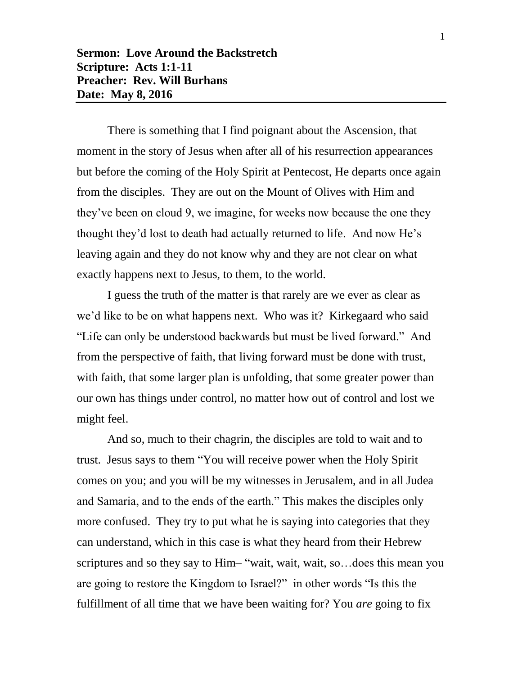There is something that I find poignant about the Ascension, that moment in the story of Jesus when after all of his resurrection appearances but before the coming of the Holy Spirit at Pentecost, He departs once again from the disciples. They are out on the Mount of Olives with Him and they've been on cloud 9, we imagine, for weeks now because the one they thought they'd lost to death had actually returned to life. And now He's leaving again and they do not know why and they are not clear on what exactly happens next to Jesus, to them, to the world.

I guess the truth of the matter is that rarely are we ever as clear as we'd like to be on what happens next. Who was it? Kirkegaard who said "Life can only be understood backwards but must be lived forward." And from the perspective of faith, that living forward must be done with trust, with faith, that some larger plan is unfolding, that some greater power than our own has things under control, no matter how out of control and lost we might feel.

And so, much to their chagrin, the disciples are told to wait and to trust. Jesus says to them "You will receive power when the Holy Spirit comes on you; and you will be my witnesses in Jerusalem, and in all Judea and Samaria, and to the ends of the earth." This makes the disciples only more confused. They try to put what he is saying into categories that they can understand, which in this case is what they heard from their Hebrew scriptures and so they say to Him– "wait, wait, wait, so…does this mean you are going to restore the Kingdom to Israel?" in other words "Is this the fulfillment of all time that we have been waiting for? You *are* going to fix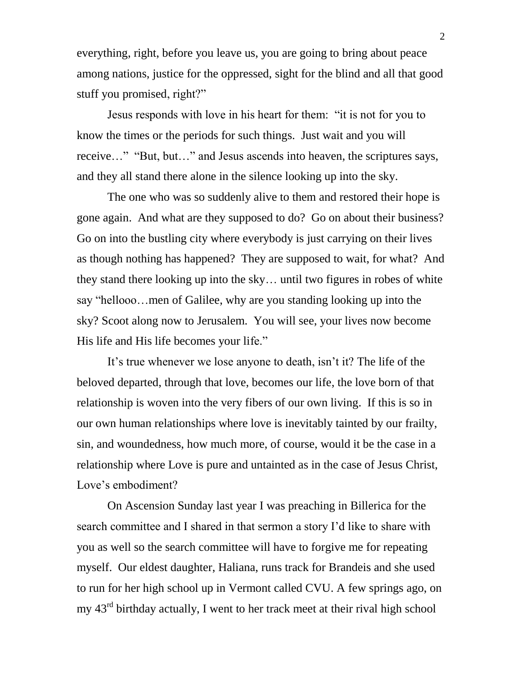everything, right, before you leave us, you are going to bring about peace among nations, justice for the oppressed, sight for the blind and all that good stuff you promised, right?"

Jesus responds with love in his heart for them: "it is not for you to know the times or the periods for such things. Just wait and you will receive…" "But, but…" and Jesus ascends into heaven, the scriptures says, and they all stand there alone in the silence looking up into the sky.

The one who was so suddenly alive to them and restored their hope is gone again. And what are they supposed to do? Go on about their business? Go on into the bustling city where everybody is just carrying on their lives as though nothing has happened? They are supposed to wait, for what? And they stand there looking up into the sky… until two figures in robes of white say "hellooo…men of Galilee, why are you standing looking up into the sky? Scoot along now to Jerusalem. You will see, your lives now become His life and His life becomes your life."

It's true whenever we lose anyone to death, isn't it? The life of the beloved departed, through that love, becomes our life, the love born of that relationship is woven into the very fibers of our own living. If this is so in our own human relationships where love is inevitably tainted by our frailty, sin, and woundedness, how much more, of course, would it be the case in a relationship where Love is pure and untainted as in the case of Jesus Christ, Love's embodiment?

On Ascension Sunday last year I was preaching in Billerica for the search committee and I shared in that sermon a story I'd like to share with you as well so the search committee will have to forgive me for repeating myself. Our eldest daughter, Haliana, runs track for Brandeis and she used to run for her high school up in Vermont called CVU. A few springs ago, on my 43<sup>rd</sup> birthday actually, I went to her track meet at their rival high school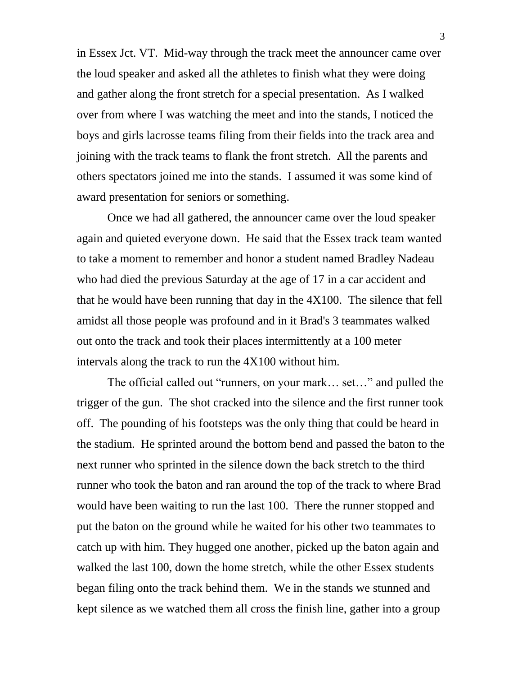in Essex Jct. VT. Mid-way through the track meet the announcer came over the loud speaker and asked all the athletes to finish what they were doing and gather along the front stretch for a special presentation. As I walked over from where I was watching the meet and into the stands, I noticed the boys and girls lacrosse teams filing from their fields into the track area and joining with the track teams to flank the front stretch. All the parents and others spectators joined me into the stands. I assumed it was some kind of award presentation for seniors or something.

Once we had all gathered, the announcer came over the loud speaker again and quieted everyone down. He said that the Essex track team wanted to take a moment to remember and honor a student named Bradley Nadeau who had died the previous Saturday at the age of 17 in a car accident and that he would have been running that day in the 4X100. The silence that fell amidst all those people was profound and in it Brad's 3 teammates walked out onto the track and took their places intermittently at a 100 meter intervals along the track to run the 4X100 without him.

The official called out "runners, on your mark… set…" and pulled the trigger of the gun. The shot cracked into the silence and the first runner took off. The pounding of his footsteps was the only thing that could be heard in the stadium. He sprinted around the bottom bend and passed the baton to the next runner who sprinted in the silence down the back stretch to the third runner who took the baton and ran around the top of the track to where Brad would have been waiting to run the last 100. There the runner stopped and put the baton on the ground while he waited for his other two teammates to catch up with him. They hugged one another, picked up the baton again and walked the last 100, down the home stretch, while the other Essex students began filing onto the track behind them. We in the stands we stunned and kept silence as we watched them all cross the finish line, gather into a group